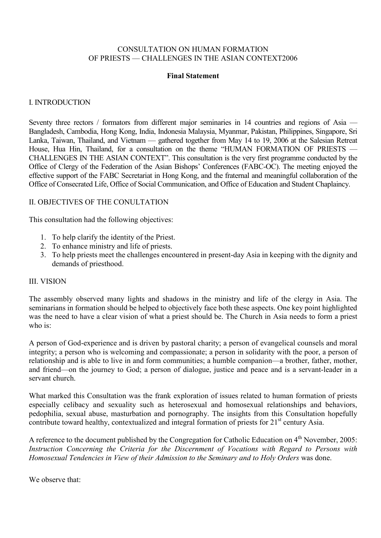## CONSULTATION ON HUMAN FORMATION OF PRIESTS — CHALLENGES IN THE ASIAN CONTEXT2006

#### Final Statement

### I. INTRODUCTION

Seventy three rectors / formators from different major seminaries in 14 countries and regions of Asia — Bangladesh, Cambodia, Hong Kong, India, Indonesia Malaysia, Myanmar, Pakistan, Philippines, Singapore, Sri Lanka, Taiwan, Thailand, and Vietnam — gathered together from May 14 to 19, 2006 at the Salesian Retreat House, Hua Hin, Thailand, for a consultation on the theme "HUMAN FORMATION OF PRIESTS — CHALLENGES IN THE ASIAN CONTEXT". This consultation is the very first programme conducted by the Office of Clergy of the Federation of the Asian Bishops' Conferences (FABC-OC). The meeting enjoyed the effective support of the FABC Secretariat in Hong Kong, and the fraternal and meaningful collaboration of the Office of Consecrated Life, Office of Social Communication, and Office of Education and Student Chaplaincy.

### II. OBJECTIVES OF THE CONULTATION

This consultation had the following objectives:

- 1. To help clarify the identity of the Priest.
- 2. To enhance ministry and life of priests.
- 3. To help priests meet the challenges encountered in present-day Asia in keeping with the dignity and demands of priesthood.

#### III. VISION

The assembly observed many lights and shadows in the ministry and life of the clergy in Asia. The seminarians in formation should be helped to objectively face both these aspects. One key point highlighted was the need to have a clear vision of what a priest should be. The Church in Asia needs to form a priest who is:

A person of God-experience and is driven by pastoral charity; a person of evangelical counsels and moral integrity; a person who is welcoming and compassionate; a person in solidarity with the poor, a person of relationship and is able to live in and form communities; a humble companion—a brother, father, mother, and friend—on the journey to God; a person of dialogue, justice and peace and is a servant-leader in a servant church.

What marked this Consultation was the frank exploration of issues related to human formation of priests especially celibacy and sexuality such as heterosexual and homosexual relationships and behaviors, pedophilia, sexual abuse, masturbation and pornography. The insights from this Consultation hopefully contribute toward healthy, contextualized and integral formation of priests for  $21<sup>st</sup>$  century Asia.

A reference to the document published by the Congregation for Catholic Education on 4<sup>th</sup> November, 2005: Instruction Concerning the Criteria for the Discernment of Vocations with Regard to Persons with Homosexual Tendencies in View of their Admission to the Seminary and to Holy Orders was done.

We observe that: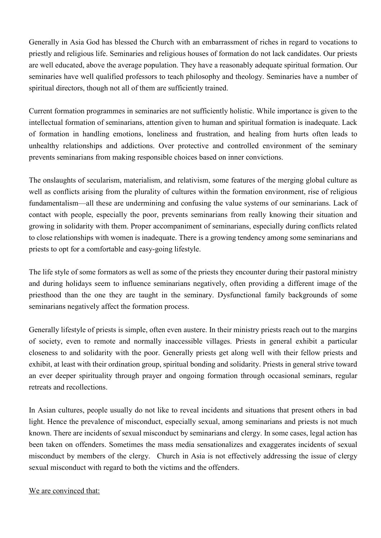Generally in Asia God has blessed the Church with an embarrassment of riches in regard to vocations to priestly and religious life. Seminaries and religious houses of formation do not lack candidates. Our priests are well educated, above the average population. They have a reasonably adequate spiritual formation. Our seminaries have well qualified professors to teach philosophy and theology. Seminaries have a number of spiritual directors, though not all of them are sufficiently trained.

Current formation programmes in seminaries are not sufficiently holistic. While importance is given to the intellectual formation of seminarians, attention given to human and spiritual formation is inadequate. Lack of formation in handling emotions, loneliness and frustration, and healing from hurts often leads to unhealthy relationships and addictions. Over protective and controlled environment of the seminary prevents seminarians from making responsible choices based on inner convictions.

The onslaughts of secularism, materialism, and relativism, some features of the merging global culture as well as conflicts arising from the plurality of cultures within the formation environment, rise of religious fundamentalism—all these are undermining and confusing the value systems of our seminarians. Lack of contact with people, especially the poor, prevents seminarians from really knowing their situation and growing in solidarity with them. Proper accompaniment of seminarians, especially during conflicts related to close relationships with women is inadequate. There is a growing tendency among some seminarians and priests to opt for a comfortable and easy-going lifestyle.

The life style of some formators as well as some of the priests they encounter during their pastoral ministry and during holidays seem to influence seminarians negatively, often providing a different image of the priesthood than the one they are taught in the seminary. Dysfunctional family backgrounds of some seminarians negatively affect the formation process.

Generally lifestyle of priests is simple, often even austere. In their ministry priests reach out to the margins of society, even to remote and normally inaccessible villages. Priests in general exhibit a particular closeness to and solidarity with the poor. Generally priests get along well with their fellow priests and exhibit, at least with their ordination group, spiritual bonding and solidarity. Priests in general strive toward an ever deeper spirituality through prayer and ongoing formation through occasional seminars, regular retreats and recollections.

In Asian cultures, people usually do not like to reveal incidents and situations that present others in bad light. Hence the prevalence of misconduct, especially sexual, among seminarians and priests is not much known. There are incidents of sexual misconduct by seminarians and clergy. In some cases, legal action has been taken on offenders. Sometimes the mass media sensationalizes and exaggerates incidents of sexual misconduct by members of the clergy. Church in Asia is not effectively addressing the issue of clergy sexual misconduct with regard to both the victims and the offenders.

We are convinced that: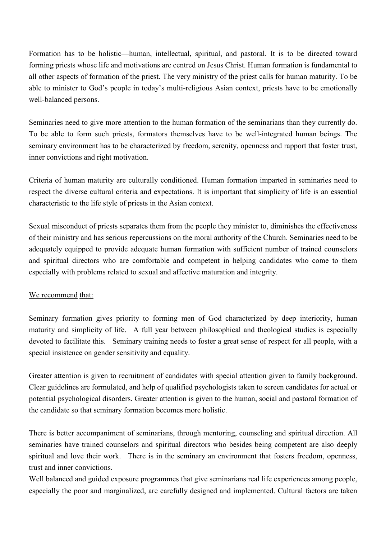Formation has to be holistic—human, intellectual, spiritual, and pastoral. It is to be directed toward forming priests whose life and motivations are centred on Jesus Christ. Human formation is fundamental to all other aspects of formation of the priest. The very ministry of the priest calls for human maturity. To be able to minister to God's people in today's multi-religious Asian context, priests have to be emotionally well-balanced persons.

Seminaries need to give more attention to the human formation of the seminarians than they currently do. To be able to form such priests, formators themselves have to be well-integrated human beings. The seminary environment has to be characterized by freedom, serenity, openness and rapport that foster trust, inner convictions and right motivation.

Criteria of human maturity are culturally conditioned. Human formation imparted in seminaries need to respect the diverse cultural criteria and expectations. It is important that simplicity of life is an essential characteristic to the life style of priests in the Asian context.

Sexual misconduct of priests separates them from the people they minister to, diminishes the effectiveness of their ministry and has serious repercussions on the moral authority of the Church. Seminaries need to be adequately equipped to provide adequate human formation with sufficient number of trained counselors and spiritual directors who are comfortable and competent in helping candidates who come to them especially with problems related to sexual and affective maturation and integrity.

# We recommend that:

Seminary formation gives priority to forming men of God characterized by deep interiority, human maturity and simplicity of life. A full year between philosophical and theological studies is especially devoted to facilitate this. Seminary training needs to foster a great sense of respect for all people, with a special insistence on gender sensitivity and equality.

Greater attention is given to recruitment of candidates with special attention given to family background. Clear guidelines are formulated, and help of qualified psychologists taken to screen candidates for actual or potential psychological disorders. Greater attention is given to the human, social and pastoral formation of the candidate so that seminary formation becomes more holistic.

There is better accompaniment of seminarians, through mentoring, counseling and spiritual direction. All seminaries have trained counselors and spiritual directors who besides being competent are also deeply spiritual and love their work. There is in the seminary an environment that fosters freedom, openness, trust and inner convictions.

Well balanced and guided exposure programmes that give seminarians real life experiences among people, especially the poor and marginalized, are carefully designed and implemented. Cultural factors are taken